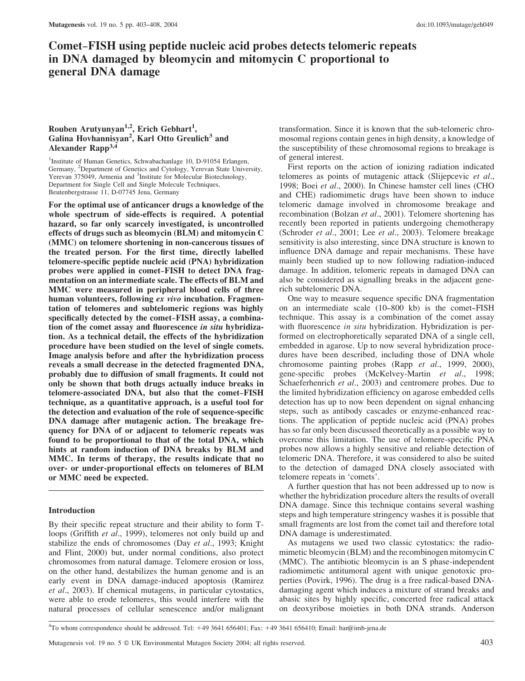# Comet–FISH using peptide nucleic acid probes detects telomeric repeats in DNA damaged by bleomycin and mitomycin C proportional to general DNA damage

# Rouben Arutyunyan<sup>1,2</sup>, Erich Gebhart<sup>1</sup>, Galina Hovhannisyan<sup>2</sup>, Karl Otto Greulich<sup>3</sup> and Alexander Rapp3,4

<sup>1</sup>Institute of Human Genetics, Schwabachanlage 10, D-91054 Erlangen, Germany, <sup>2</sup>Department of Genetics and Cytology, Yerevan State University, Yerevan 375049, Armenia and <sup>3</sup>Institute for Molecular Biotechnology, Department for Single Cell and Single Molecule Techniques, Beutenbergstrasse 11, D-07745 Jena, Germany

For the optimal use of anticancer drugs a knowledge of the whole spectrum of side-effects is required. A potential hazard, so far only scarcely investigated, is uncontrolled effects of drugs such as bleomycin (BLM) and mitomycin C (MMC) on telomere shortening in non-cancerous tissues of the treated person. For the first time, directly labelled telomere-specific peptide nucleic acid (PNA) hybridization probes were applied in comet-FISH to detect DNA fragmentation on an intermediate scale. The effects of BLM and MMC were measured in peripheral blood cells of three human volunteers, following ex vivo incubation. Fragmentation of telomeres and subtelomeric regions was highly specifically detected by the comet-FISH assay, a combination of the comet assay and fluorescence in situ hybridization. As a technical detail, the effects of the hybridization procedure have been studied on the level of single comets. Image analysis before and after the hybridization process reveals a small decrease in the detected fragmented DNA, probably due to diffusion of small fragments. It could not only be shown that both drugs actually induce breaks in telomere-associated DNA, but also that the comet-FISH technique, as a quantitative approach, is a useful tool for the detection and evaluation of the role of sequence-specific DNA damage after mutagenic action. The breakage frequency for DNA of or adjacent to telomeric repeats was found to be proportional to that of the total DNA, which hints at random induction of DNA breaks by BLM and MMC. In terms of therapy, the results indicate that no over- or under-proportional effects on telomeres of BLM or MMC need be expected.

## Introduction

By their specific repeat structure and their ability to form Tloops (Griffith et al., 1999), telomeres not only build up and stabilize the ends of chromosomes (Day et al., 1993; Knight and Flint, 2000) but, under normal conditions, also protect chromosomes from natural damage. Telomere erosion or loss, on the other hand, destabilizes the human genome and is an early event in DNA damage-induced apoptosis (Ramirez et al., 2003). If chemical mutagens, in particular cytostatics, were able to erode telomeres, this would interfere with the natural processes of cellular senescence and/or malignant

transformation. Since it is known that the sub-telomeric chromosomal regions contain genes in high density, a knowledge of the susceptibility of these chromosomal regions to breakage is of general interest.

First reports on the action of ionizing radiation indicated telomeres as points of mutagenic attack (Slijepcevic et al., 1998; Boei et al., 2000). In Chinese hamster cell lines (CHO and CHE) radiomimetic drugs have been shown to induce telomeric damage involved in chromosome breakage and recombination (Bolzan et al., 2001). Telomere shortening has recently been reported in patients undergoing chemotherapy (Schroder et al., 2001; Lee et al., 2003). Telomere breakage sensitivity is also interesting, since DNA structure is known to influence DNA damage and repair mechanisms. These have mainly been studied up to now following radiation-induced damage. In addition, telomeric repeats in damaged DNA can also be considered as signalling breaks in the adjacent generich subtelomeric DNA.

One way to measure sequence specific DNA fragmentation on an intermediate scale  $(10-800 \text{ kb})$  is the comet-FISH technique. This assay is a combination of the comet assay with fluorescence in situ hybridization. Hybridization is performed on electrophoretically separated DNA of a single cell, embedded in agarose. Up to now several hybridization procedures have been described, including those of DNA whole chromosome painting probes (Rapp et al., 1999, 2000), gene-specific probes (McKelvey-Martin et al., 1998; Schaeferhenrich et al., 2003) and centromere probes. Due to the limited hybridization efficiency on agarose embedded cells detection has up to now been dependent on signal enhancing steps, such as antibody cascades or enzyme-enhanced reactions. The application of peptide nucleic acid (PNA) probes has so far only been discussed theoretically as a possible way to overcome this limitation. The use of telomere-specific PNA probes now allows a highly sensitive and reliable detection of telomeric DNA. Therefore, it was considered to also be suited to the detection of damaged DNA closely associated with telomere repeats in 'comets'.

A further question that has not been addressed up to now is whether the hybridization procedure alters the results of overall DNA damage. Since this technique contains several washing steps and high temperature stringency washes it is possible that small fragments are lost from the comet tail and therefore total DNA damage is underestimated.

As mutagens we used two classic cytostatics: the radiomimetic bleomycin (BLM) and the recombinogen mitomycin C (MMC). The antibiotic bleomycin is an S phase-independent radiomimetic antitumoral agent with unique genotoxic properties (Povirk, 1996). The drug is a free radical-based DNAdamaging agent which induces a mixture of strand breaks and abasic sites by highly specific, concerted free radical attack on deoxyribose moieties in both DNA strands. Anderson

<sup>&</sup>lt;sup>4</sup>To whom correspondence should be addressed. Tel: +49 3641 656401; Fax: +49 3641 656410; Email: bar@imb-jena.de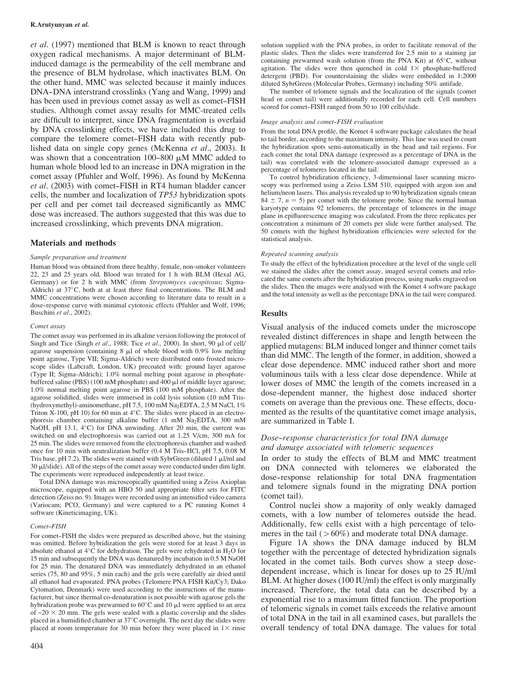### R.Arutyunyan et al.

et al. (1997) mentioned that BLM is known to react through oxygen radical mechanisms. A major determinant of BLMinduced damage is the permeability of the cell membrane and the presence of BLM hydrolase, which inactivates BLM. On the other hand, MMC was selected because it mainly induces DNA-DNA interstrand crosslinks (Yang and Wang, 1999) and has been used in previous comet assay as well as comet-FISH studies. Although comet assay results for MMC-treated cells are difficult to interpret, since DNA fragmentation is overlaid by DNA crosslinking effects, we have included this drug to compare the telomere comet-FISH data with recently published data on single copy genes (McKenna et al., 2003). It was shown that a concentration 100-800  $\mu$ M MMC added to human whole blood led to an increase in DNA migration in the comet assay (Pfuhler and Wolf, 1996). As found by McKenna  $et al. (2003)$  with comet-FISH in RT4 human bladder cancer cells, the number and localization of TP53 hybridization spots per cell and per comet tail decreased significantly as MMC dose was increased. The authors suggested that this was due to increased crosslinking, which prevents DNA migration.

## Materials and methods

#### Sample preparation and treatment

Human blood was obtained from three healthy, female, non-smoker volunteers 22, 23 and 25 years old. Blood was treated for 1 h with BLM (Hexal AG, Germany) or for 2 h with MMC (from Streptomyces caespitosus; Sigma-Aldrich) at  $37^{\circ}$ C, both at at least three final concentrations. The BLM and MMC concentrations were chosen according to literature data to result in a dose--response curve with minimal cytotoxic effects (Pfuhler and Wolf, 1996; Buschini et al., 2002).

#### Comet assay

The comet assay was performed in its alkaline version following the protocol of Singh and Tice (Singh et al., 1988; Tice et al., 2000). In short, 90  $\mu$ l of cell/ agarose suspension (containing  $8 \mu l$  of whole blood with 0.9% low melting point agarose, Type VII; Sigma-Aldrich) were distributed onto frosted microscope slides (Labcraft, London, UK) precoated with: ground layer agarose (Type II; Sigma-Aldrich); 1.0% normal melting point agarose in phosphatebuffered saline (PBS) (100 mM phosphate) and 400  $\mu$ l of middle layer agarose; 1.0% normal melting point agarose in PBS (100 mM phosphate). After the agarose solidified, slides were immersed in cold lysis solution (10 mM Tris- (hydroxymethyl)-aminomethane, pH 7.5, 100 mM Na<sub>2</sub>EDTA, 2.5 M NaCl, 1% Triton X-100, pH 10) for 60 min at  $4^{\circ}$ C. The slides were placed in an electrophoresis chamber containing alkaline buffer  $(1 \text{ mM } Na<sub>2</sub>EDTA, 300 \text{ mM }$ NaOH, pH 13.1, 4°C) for DNA unwinding. After 20 min, the current was switched on and electrophoresis was carried out at 1.25 V/cm, 300 mA for 25 min. The slides were removed from the electrophoresis chamber and washed once for 10 min with neutralization buffer (0.4 M Tris--HCl, pH 7.5, 0.08 M Tris base, pH 7.2). The slides were stained with SybrGreen (diluted 1  $\mu$ l/ml and 30 ml/slide). All of the steps of the comet assay were conducted under dim light. The experiments were reproduced independently at least twice.

Total DNA damage was microscopically quantified using a Zeiss Axioplan microscope, equipped with an HBO 50 and appropriate filter sets for FITC detection (Zeiss no. 9). Images were recorded using an intensified video camera (Variocam; PCO, Germany) and were captured to a PC running Komet 4 software (Kineticimaging, UK).

#### Comet-FISH

For comet-FISH the slides were prepared as described above, but the staining was omitted. Before hybridization the gels were stored for at least 3 days in absolute ethanol at  $4^{\circ}$ C for dehydration. The gels were rehydrated in H<sub>2</sub>O for 15 min and subsequently the DNA was denatured by incubation in  $0.5 M NaOH$ for 25 min. The denatured DNA was immediately dehydrated in an ethanol series (75, 80 and 95%, 5 min each) and the gels were carefully air dried until all ethanol had evaporated. PNA probes (Telomere PNA FISH Kit/Cy3; Dako Cytomation, Denmark) were used according to the instructions of the manufacturer, but since thermal co-denaturation is not possible with agarose gels the hybridization probe was prewarmed to  $60^{\circ}$ C and  $10 \mu$ l were applied to an area of  $\sim$ 20  $\times$  20 mm. The gels were sealed with a plastic coverslip and the slides placed in a humidified chamber at  $37^{\circ}$ C overnight. The next day the slides were placed at room temperature for 30 min before they were placed in  $1\times$  rinse

solution supplied with the PNA probes, in order to facilitate removal of the plastic slides. Then the slides were transferred for 2.5 min to a staining jar containing prewarmed wash solution (from the PNA Kit) at  $65^{\circ}$ C, without agitation. The slides were then quenched in cold  $1\times$  phosphate-buffered detergent (PBD). For counterstaining the slides were embedded in 1:2000 diluted SybrGreen (Molecular Probes, Germany) including 50% antifade.

The number of telomere signals and the localization of the signals (comet head or comet tail) were additionally recorded for each cell. Cell numbers scored for comet-FISH ranged from 50 to 100 cells/slide.

#### Image analysis and comet-FISH evaluation

From the total DNA profile, the Komet 4 software package calculates the head to tail border, according to the maximum intensity. This line was used to count the hybridization spots semi-automatically in the head and tail regions. For each comet the total DNA damage (expressed as a percentage of DNA in the tail) was correlated with the telomere-associated damage expressed as a percentage of telomeres located in the tail.

To control hybridization efficiency, 3-dimensional laser scanning microscopy was performed using a Zeiss LSM 510, equipped with argon ion and helium/neon lasers. This analysis revealed up to 90 hybridization signals (mean  $84 \pm 7$ ,  $n = 5$ ) per comet with the telomere probe. Since the normal human karyotype contains 92 telomeres, the percentage of telomeres in the image plane in epifluorescence imaging was calculated. From the three replicates per concentration a minimum of 20 comets per slide were further analysed. The 50 comets with the highest hybridization efficiencies were selected for the statistical analysis.

#### Repeated scanning analysis

To study the effect of the hybridization procedure at the level of the single cell we stained the slides after the comet assay, imaged several comets and relocated the same comets after the hybridization process, using marks engraved on the slides. Then the images were analysed with the Komet 4 software package and the total intensity as well as the percentage DNA in the tail were compared.

### Results

Visual analysis of the induced comets under the microscope revealed distinct differences in shape and length between the applied mutagens: BLM induced longer and thinner comet tails than did MMC. The length of the former, in addition, showed a clear dose dependence. MMC induced rather short and more voluminous tails with a less clear dose dependence. While at lower doses of MMC the length of the comets increased in a dose-dependent manner, the highest dose induced shorter comets on average than the previous one. These effects, documented as the results of the quantitative comet image analysis, are summarized in Table I.

# Dose--response characteristics for total DNA damage and damage associated with telomeric sequences

In order to study the effects of BLM and MMC treatment on DNA connected with telomeres we elaborated the dose--response relationship for total DNA fragmentation and telomere signals found in the migrating DNA portion (comet tail).

Control nuclei show a majority of only weakly damaged comets, with a low number of telomeres outside the head. Additionally, few cells exist with a high percentage of telomeres in the tail  $(>60\%)$  and moderate total DNA damage.

Figure 1A shows the DNA damage induced by BLM together with the percentage of detected hybridization signals located in the comet tails. Both curves show a steep dosedependent increase, which is linear for doses up to 25 IU/ml BLM. At higher doses (100 IU/ml) the effect is only marginally increased. Therefore, the total data can be described by a exponential rise to a maximum fitted function. The proportion of telomeric signals in comet tails exceeds the relative amount of total DNA in the tail in all examined cases, but parallels the overall tendency of total DNA damage. The values for total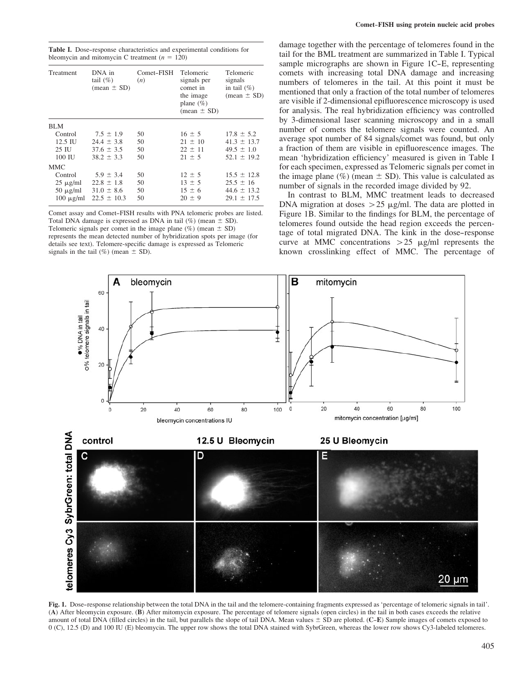Table I. Dose--response characteristics and experimental conditions for bleomycin and mitomycin C treatment  $(n = 120)$ 

| DNA in<br>tail $(\% )$<br>$mean \pm SD$ | Comet-FISH<br>(n) | <b>Telomeric</b><br>signals per<br>comet in<br>the image<br>plane $(\% )$<br>$mean \pm SD$ | Telomeric<br>signals<br>in tail $(\%)$<br>$mean \pm SD$ |
|-----------------------------------------|-------------------|--------------------------------------------------------------------------------------------|---------------------------------------------------------|
|                                         |                   |                                                                                            |                                                         |
| $7.5 \pm 1.9$                           | 50                | $16 \pm 5$                                                                                 | $17.8 \pm 5.2$                                          |
| $24.4 \pm 3.8$                          | 50                | $21 \pm 10$                                                                                | $41.3 \pm 13.7$                                         |
| $37.6 \pm 3.5$                          | 50                | $22 \pm 11$                                                                                | $49.5 \pm 1.0$                                          |
| $38.2 \pm 3.3$                          | 50                | $21 \pm 5$                                                                                 | $52.1 \pm 19.2$                                         |
|                                         |                   |                                                                                            |                                                         |
| $5.9 \pm 3.4$                           | 50                | $12 \pm 5$                                                                                 | $15.5 \pm 12.8$                                         |
| $22.8 \pm 1.8$                          | 50                | $13 \pm 5$                                                                                 | $25.5 \pm 16$                                           |
| $31.0 \pm 8.6$                          | 50                | $15 \pm 6$                                                                                 | $44.6 \pm 13.2$                                         |
| $22.5 \pm 10.3$                         | 50                | $20 \pm 9$                                                                                 | $29.1 \pm 17.5$                                         |
|                                         |                   |                                                                                            |                                                         |

Comet assay and Comet-FISH results with PNA telomeric probes are listed. Total DNA damage is expressed as DNA in tail  $(\%)$  (mean  $\pm$  SD). Telomeric signals per comet in the image plane (%) (mean  $\pm$  SD) represents the mean detected number of hybridization spots per image (for details see text). Telomere-specific damage is expressed as Telomeric signals in the tail  $(\%)$  (mean  $\pm$  SD).

damage together with the percentage of telomeres found in the tail for the BML treatment are summarized in Table I. Typical sample micrographs are shown in Figure 1C-E, representing comets with increasing total DNA damage and increasing numbers of telomeres in the tail. At this point it must be mentioned that only a fraction of the total number of telomeres are visible if 2-dimensional epifluorescence microscopy is used for analysis. The real hybridization efficiency was controlled by 3-dimensional laser scanning microscopy and in a small number of comets the telomere signals were counted. An average spot number of 84 signals/comet was found, but only a fraction of them are visible in epifluorescence images. The mean 'hybridization efficiency' measured is given in Table I for each specimen, expressed as Telomeric signals per comet in the image plane (%) (mean  $\pm$  SD). This value is calculated as number of signals in the recorded image divided by 92.

In contrast to BLM, MMC treatment leads to decreased DNA migration at doses  $>$  25  $\mu$ g/ml. The data are plotted in Figure 1B. Similar to the findings for BLM, the percentage of telomeres found outside the head region exceeds the percentage of total migrated DNA. The kink in the dose--response curve at MMC concentrations  $>25$   $\mu$ g/ml represents the known crosslinking effect of MMC. The percentage of



Fig. 1. Dose-response relationship between the total DNA in the tail and the telomere-containing fragments expressed as 'percentage of telomeric signals in tail'. (A) After bleomycin exposure. (B) After mitomycin exposure. The percentage of telomere signals (open circles) in the tail in both cases exceeds the relative amount of total DNA (filled circles) in the tail, but parallels the slope of tail DNA. Mean values  $\pm$  SD are plotted. (C-E) Sample images of comets exposed to 0 (C), 12.5 (D) and 100 IU (E) bleomycin. The upper row shows the total DNA stained with SybrGreen, whereas the lower row shows Cy3-labeled telomeres.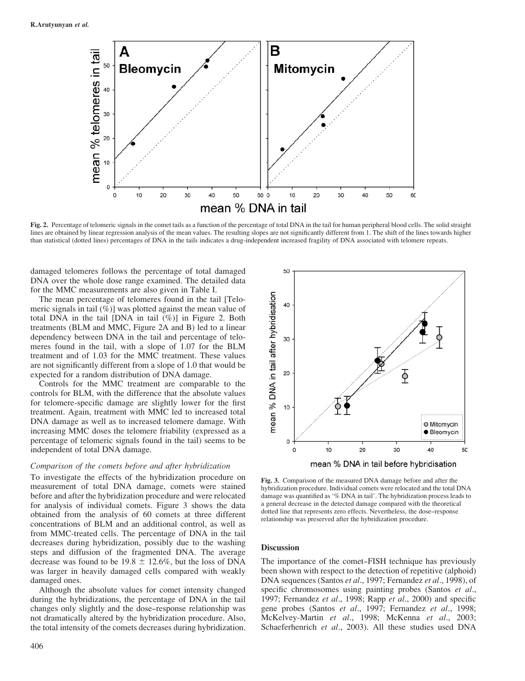

Fig. 2. Percentage of telomeric signals in the comet tails as a function of the percentage of total DNA in the tail for human peripheral blood cells. The solid straight lines are obtained by linear regression analysis of the mean values. The resulting slopes are not significantly different from 1. The shift of the lines towards higher than statistical (dotted lines) percentages of DNA in the tails indicates a drug-independent increased fragility of DNA associated with telomere repeats.

damaged telomeres follows the percentage of total damaged DNA over the whole dose range examined. The detailed data for the MMC measurements are also given in Table I.

The mean percentage of telomeres found in the tail [Telomeric signals in tail  $(\%)$  was plotted against the mean value of total DNA in the tail  $[DNA$  in tail  $(\%)$  in Figure 2. Both treatments (BLM and MMC, Figure 2A and B) led to a linear dependency between DNA in the tail and percentage of telomeres found in the tail, with a slope of 1.07 for the BLM treatment and of 1.03 for the MMC treatment. These values are not significantly different from a slope of 1.0 that would be expected for a random distribution of DNA damage.

Controls for the MMC treatment are comparable to the controls for BLM, with the difference that the absolute values for telomere-specific damage are slightly lower for the first treatment. Again, treatment with MMC led to increased total DNA damage as well as to increased telomere damage. With increasing MMC doses the telomere friability (expressed as a percentage of telomeric signals found in the tail) seems to be independent of total DNA damage.

# Comparison of the comets before and after hybridization

To investigate the effects of the hybridization procedure on measurement of total DNA damage, comets were stained before and after the hybridization procedure and were relocated for analysis of individual comets. Figure 3 shows the data obtained from the analysis of 60 comets at three different concentrations of BLM and an additional control, as well as from MMC-treated cells. The percentage of DNA in the tail decreases during hybridization, possibly due to the washing steps and diffusion of the fragmented DNA. The average decrease was found to be  $19.8 \pm 12.6\%$ , but the loss of DNA was larger in heavily damaged cells compared with weakly damaged ones.

Although the absolute values for comet intensity changed during the hybridizations, the percentage of DNA in the tail changes only slightly and the dose--response relationship was not dramatically altered by the hybridization procedure. Also, the total intensity of the comets decreases during hybridization.



Fig. 3. Comparison of the measured DNA damage before and after the hybridization procedure. Individual comets were relocated and the total DNA damage was quantified as '% DNA in tail'. The hybridization process leads to a general decrease in the detected damage compared with the theoretical dotted line that represents zero effects. Nevertheless, the dose--response relationship was preserved after the hybridization procedure.

#### **Discussion**

The importance of the comet–FISH technique has previously been shown with respect to the detection of repetitive (alphoid) DNA sequences (Santos et al., 1997; Fernandez et al., 1998), of specific chromosomes using painting probes (Santos et al., 1997; Fernandez et al., 1998; Rapp et al., 2000) and specific gene probes (Santos et al., 1997; Fernandez et al., 1998; McKelvey-Martin et al., 1998; McKenna et al., 2003; Schaeferhenrich et al., 2003). All these studies used DNA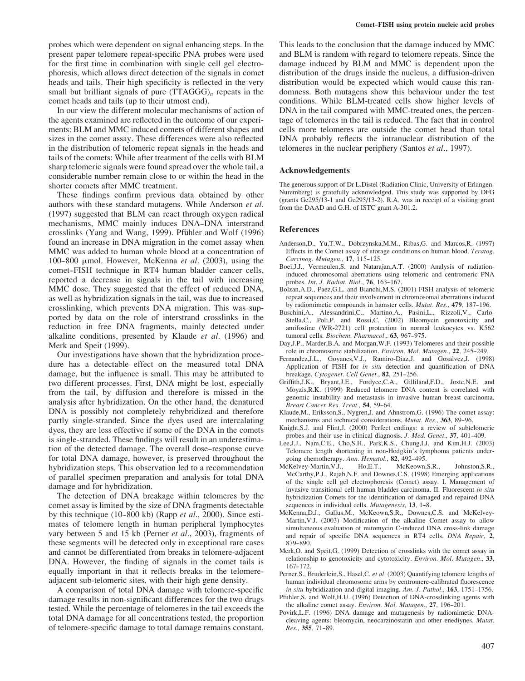probes which were dependent on signal enhancing steps. In the present paper telomere repeat-specific PNA probes were used for the first time in combination with single cell gel electrophoresis, which allows direct detection of the signals in comet heads and tails. Their high specificity is reflected in the very small but brilliant signals of pure  $(TTAGGG)_n$  repeats in the comet heads and tails (up to their utmost end).

In our view the different molecular mechanisms of action of the agents examined are reflected in the outcome of our experiments: BLM and MMC induced comets of different shapes and sizes in the comet assay. These differences were also reflected in the distribution of telomeric repeat signals in the heads and tails of the comets: While after treatment of the cells with BLM sharp telomeric signals were found spread over the whole tail, a considerable number remain close to or within the head in the shorter comets after MMC treatment.

These findings confirm previous data obtained by other authors with these standard mutagens. While Anderson et al. (1997) suggested that BLM can react through oxygen radical mechanisms, MMC mainly induces DNA-DNA interstrand crosslinks (Yang and Wang, 1999). Pfühler and Wolf (1996) found an increase in DNA migration in the comet assay when MMC was added to human whole blood at a concentration of 100-800  $\mu$ mol. However, McKenna *et al.* (2003), using the comet-FISH technique in RT4 human bladder cancer cells, reported a decrease in signals in the tail with increasing MMC dose. They suggested that the effect of reduced DNA, as well as hybridization signals in the tail, was due to increased crosslinking, which prevents DNA migration. This was supported by data on the role of interstrand crosslinks in the reduction in free DNA fragments, mainly detected under alkaline conditions, presented by Klaude et al. (1996) and Merk and Speit (1999).

Our investigations have shown that the hybridization procedure has a detectable effect on the measured total DNA damage, but the influence is small. This may be attributed to two different processes. First, DNA might be lost, especially from the tail, by diffusion and therefore is missed in the analysis after hybridization. On the other hand, the denatured DNA is possibly not completely rehybridized and therefore partly single-stranded. Since the dyes used are intercalating dyes, they are less effective if some of the DNA in the comets is single-stranded. These findings will result in an underestimation of the detected damage. The overall dose--response curve for total DNA damage, however, is preserved throughout the hybridization steps. This observation led to a recommendation of parallel specimen preparation and analysis for total DNA damage and for hybridization.

The detection of DNA breakage within telomeres by the comet assay is limited by the size of DNA fragments detectable by this technique (10–800 kb) (Rapp *et al.*, 2000). Since estimates of telomere length in human peripheral lymphocytes vary between 5 and 15 kb (Perner et al., 2003), fragments of these segments will be detected only in exceptional rare cases and cannot be differentiated from breaks in telomere-adjacent DNA. However, the finding of signals in the comet tails is equally important in that it reflects breaks in the telomereadjacent sub-telomeric sites, with their high gene density.

A comparison of total DNA damage with telomere-specific damage results in non-significant differences for the two drugs tested. While the percentage of telomeres in the tail exceeds the total DNA damage for all concentrations tested, the proportion of telomere-specific damage to total damage remains constant.

This leads to the conclusion that the damage induced by MMC and BLM is random with regard to telomere repeats. Since the damage induced by BLM and MMC is dependent upon the distribution of the drugs inside the nucleus, a diffusion-driven distribution would be expected which would cause this randomness. Both mutagens show this behaviour under the test conditions. While BLM-treated cells show higher levels of DNA in the tail compared with MMC-treated ones, the percentage of telomeres in the tail is reduced. The fact that in control cells more telomeres are outside the comet head than total DNA probably reflects the intranuclear distribution of the telomeres in the nuclear periphery (Santos et al., 1997).

#### Acknowledgements

The generous support of Dr L.Distel (Radiation Clinic, University of Erlangen-Nuremberg) is gratefully acknowledged. This study was supported by DFG (grants Ge295/13-1 and Ge295/13-2). R.A. was in receipt of a visiting grant from the DAAD and G.H. of ISTC grant A-301.2.

#### References

- Anderson,D., Yu,T.W., Dobrzynska,M.M., Ribas,G. and Marcos,R. (1997) Effects in the Comet assay of storage conditions on human blood. Teratog. Carcinog. Mutagen., 17, 115-125.
- Boei,J.J., Vermeulen,S. and Natarajan,A.T. (2000) Analysis of radiationinduced chromosomal aberrations using telomeric and centromeric PNA probes. *Int. J. Radiat. Biol.*, **76**, 163-167.
- Bolzan,A.D., Paez,G.L. and Bianchi,M.S. (2001) FISH analysis of telomeric repeat sequences and their involvement in chromosomal aberrations induced by radiomimetic compounds in hamster cells. Mutat. Res., 479, 187-196.
- Buschini,A., Alessandrini,C., Martino,A., Pasini,L., Rizzoli,V., Carlo-Stella,C., Poli,P. and Rossi,C. (2002) Bleomycin genotoxicity and amifostine (WR-2721) cell protection in normal leukocytes vs. K562 tumoral cells. Biochem. Pharmacol., 63, 967-975.
- Day,J.P., Marder,B.A. and Morgan,W.F. (1993) Telomeres and their possible role in chromosome stabilization. Environ. Mol. Mutagen., 22, 245-249.
- Fernandez,J.L., Goyanes,V.J., Ramiro-Diaz,J. and Gosalvez,J. (1998) Application of FISH for in situ detection and quantification of DNA breakage. Cytogenet. Cell Genet., 82, 251-256.
- Griffith,J.K., Bryant,J.E., Fordyce,C.A., Gilliland,F.D., Joste,N.E. and Moyzis,R.K. (1999) Reduced telomere DNA content is correlated with genomic instability and metastasis in invasive human breast carcinoma. Breast Cancer Res. Treat., 54, 59-64.
- Klaude,M., Eriksson,S., Nygren,J. and Ahnstrom,G. (1996) The comet assay: mechanisms and technical considerations. *Mutat. Res.*, 363, 89-96.
- Knight,S.J. and Flint,J. (2000) Perfect endings: a review of subtelomeric probes and their use in clinical diagnosis. J. Med. Genet., 37, 401-409.
- Lee,J.J., Nam,C.E., Cho,S.H., Park,K.S., Chung,I.J. and Kim,H.J. (2003) Telomere length shortening in non-Hodgkin's lymphoma patients undergoing chemotherapy. Ann. Hematol., 82, 492-495.
- McKelvey-Martin,V.J., Ho,E.T., McKeown,S.R., Johnston,S.R., McCarthy,P.J., Rajab,N.F. and Downes,C.S. (1998) Emerging applications of the single cell gel electrophoresis (Comet) assay. I. Management of invasive transitional cell human bladder carcinoma. II. Fluorescent in situ hybridization Comets for the identification of damaged and repaired DNA sequences in individual cells. Mutagenesis, 13, 1-8.
- McKenna,D.J., Gallus,M., McKeown,S.R., Downes,C.S. and McKelvey-Martin,V.J. (2003) Modification of the alkaline Comet assay to allow simultaneous evaluation of mitomycin C-induced DNA cross-link damage and repair of specific DNA sequences in RT4 cells. DNA Repair, 2, 879-890.
- Merk,O. and Speit,G. (1999) Detection of crosslinks with the comet assay in relationship to genotoxicity and cytotoxicity. *Environ. Mol. Mutagen.*, 33, 167--172.
- Perner,S., Bruderlein,S., Hasel,C. et al. (2003) Quantifying telomere lengths of human individual chromosome arms by centromere-calibrated fluorescence in situ hybridization and digital imaging. Am. J. Pathol., 163, 1751-1756.
- Pfuhler,S. and Wolf,H.U. (1996) Detection of DNA-crosslinking agents with the alkaline comet assay. Environ. Mol. Mutagen., 27, 196-201.
- Povirk,L.F. (1996) DNA damage and mutagenesis by radiomimetic DNAcleaving agents: bleomycin, neocarzinostatin and other enediynes. Mutat. Res., 355, 71-89.